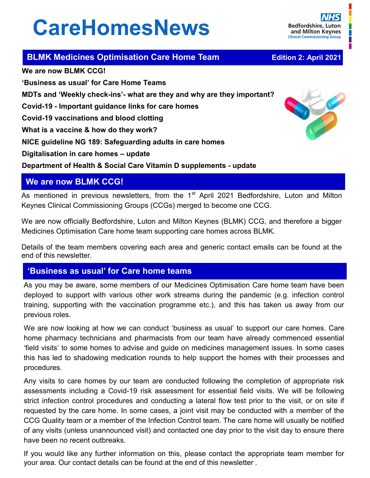# **CareHomesNews**

**Bedfordshire, Luton** and Milton Keynes **Clinical Commissioning Group** 

**BLMK Medicines Optimisation Care Home Team <br><b>Edition 2: April 2021** 

**We are now BLMK CCG! 'Business as usual' for Care Home Teams MDTs and 'Weekly check-ins'- what are they and why are they important? Covid-19 - Important guidance links for care homes Covid-19 vaccinations and blood clotting What is a vaccine & how do they work? NICE guideline NG 189: Safeguarding adults in care homes Digitalisation in care homes – update**



**Department of Health & Social Care Vitamin D supplements - update** 

## **We are now BLMK CCG!**

As mentioned in previous newsletters, from the 1<sup>st</sup> April 2021 Bedfordshire, Luton and Milton Keynes Clinical Commissioning Groups (CCGs) merged to become one CCG.

We are now officially Bedfordshire, Luton and Milton Keynes (BLMK) CCG, and therefore a bigger Medicines Optimisation Care home team supporting care homes across BLMK.

Details of the team members covering each area and generic contact emails can be found at the end of this newsletter.

## **'Business as usual' for Care home teams**

As you may be aware, some members of our Medicines Optimisation Care home team have been deployed to support with various other work streams during the pandemic (e.g. infection control training, supporting with the vaccination programme etc.), and this has taken us away from our previous roles.

We are now looking at how we can conduct 'business as usual' to support our care homes. Care home pharmacy technicians and pharmacists from our team have already commenced essential 'field visits' to some homes to advise and guide on medicines management issues. In some cases this has led to shadowing medication rounds to help support the homes with their processes and procedures.

Any visits to care homes by our team are conducted following the completion of appropriate risk assessments including a Covid-19 risk assessment for essential field visits. We will be following strict infection control procedures and conducting a lateral flow test prior to the visit, or on site if requested by the care home. In some cases, a joint visit may be conducted with a member of the CCG Quality team or a member of the Infection Control team. The care home will usually be notified of any visits (unless unannounced visit) and contacted one day prior to the visit day to ensure there have been no recent outbreaks.

If you would like any further information on this, please contact the appropriate team member for your area. Our contact details can be found at the end of this newsletter .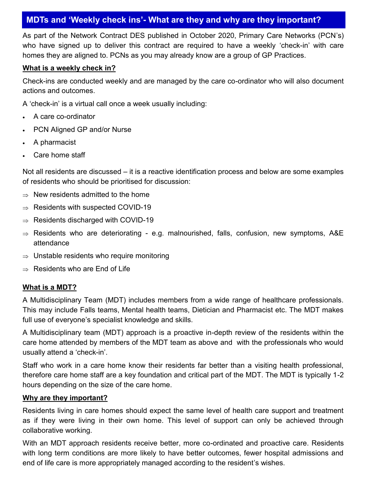# **MDTs and 'Weekly check ins'- What are they and why are they important?**

As part of the Network Contract DES published in October 2020, Primary Care Networks (PCN's) who have signed up to deliver this contract are required to have a weekly 'check-in' with care homes they are aligned to. PCNs as you may already know are a group of GP Practices.

#### **What is a weekly check in?**

Check-ins are conducted weekly and are managed by the care co-ordinator who will also document actions and outcomes.

A 'check-in' is a virtual call once a week usually including:

- A care co-ordinator
- PCN Aligned GP and/or Nurse
- A pharmacist
- Care home staff

Not all residents are discussed – it is a reactive identification process and below are some examples of residents who should be prioritised for discussion:

- $\Rightarrow$  New residents admitted to the home
- $\Rightarrow$  Residents with suspected COVID-19
- $\Rightarrow$  Residents discharged with COVID-19
- $\Rightarrow$  Residents who are deteriorating e.g. malnourished, falls, confusion, new symptoms, A&E attendance
- $\Rightarrow$  Unstable residents who require monitoring
- $\Rightarrow$  Residents who are End of Life

#### **What is a MDT?**

A Multidisciplinary Team (MDT) includes members from a wide range of healthcare professionals. This may include Falls teams, Mental health teams, Dietician and Pharmacist etc. The MDT makes full use of everyone's specialist knowledge and skills.

A Multidisciplinary team (MDT) approach is a proactive in-depth review of the residents within the care home attended by members of the MDT team as above and with the professionals who would usually attend a 'check-in'.

Staff who work in a care home know their residents far better than a visiting health professional, therefore care home staff are a key foundation and critical part of the MDT. The MDT is typically 1-2 hours depending on the size of the care home.

#### **Why are they important?**

Residents living in care homes should expect the same level of health care support and treatment as if they were living in their own home. This level of support can only be achieved through collaborative working.

With an MDT approach residents receive better, more co-ordinated and proactive care. Residents with long term conditions are more likely to have better outcomes, fewer hospital admissions and end of life care is more appropriately managed according to the resident's wishes.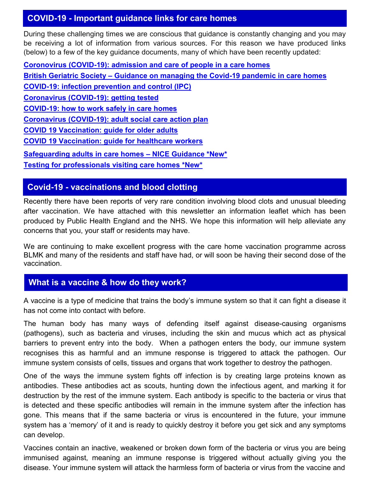## **COVID-19 - Important guidance links for care homes**

During these challenging times we are conscious that guidance is constantly changing and you may be receiving a lot of information from various sources. For this reason we have produced links (below) to a few of the key guidance documents, many of which have been recently updated:

**Coronovirus (COVID-[19\): admission and care of people in a care homes](https://www.gov.uk/government/publications/coronavirus-covid-19-admission-and-care-of-people-in-care-homes) British Geriatric Society – [Guidance on managing the Covid](https://www.bgs.org.uk/resources/covid-19-managing-the-covid-19-pandemic-in-care-homes)-19 pandemic in care homes COVID-[19: infection prevention and control \(IPC\)](https://www.gov.uk/government/publications/wuhan-novel-coronavirus-infection-prevention-and-control) [Coronavirus \(COVID](https://www.gov.uk/guidance/coronavirus-covid-19-getting-tested)-19): getting tested COVID-[19: how to work safely in care homes](https://www.gov.uk/government/publications/covid-19-how-to-work-safely-in-care-homes) Coronavirus (COVID-[19\): adult social care action plan](https://www.gov.uk/government/publications/coronavirus-covid-19-adult-social-care-action-plan) [COVID 19 Vaccination: guide for older adults](https://www.gov.uk/government/publications/covid-19-vaccination-guide-for-older-adults) [COVID 19 Vaccination: guide for healthcare workers](https://www.gov.uk/government/publications/covid-19-vaccination-guide-for-healthcare-workers/covid-19-vaccination-guide-for-healthcare-workers) [Safeguarding adults in care homes –](https://www.nice.org.uk/guidance/ng189) NICE Guidance \*New\* [Testing for professionals visiting care homes \\*New\\*](https://www.gov.uk/government/publications/coronavirus-covid-19-lateral-flow-testing-in-adult-social-care-settings/testing-for-professionals-visiting-care-homes)**

## **Covid-19 - vaccinations and blood clotting**

Recently there have been reports of very rare condition involving blood clots and unusual bleeding after vaccination. We have attached with this newsletter an information leaflet which has been produced by Public Health England and the NHS. We hope this information will help alleviate any concerns that you, your staff or residents may have.

We are continuing to make excellent progress with the care home vaccination programme across BLMK and many of the residents and staff have had, or will soon be having their second dose of the vaccination.

## **What is a vaccine & how do they work?**

A vaccine is a type of medicine that trains the body's immune system so that it can fight a disease it has not come into contact with before.

The human body has many ways of defending itself against disease-causing organisms (pathogens), such as bacteria and viruses, including the skin and mucus which act as physical barriers to prevent entry into the body. When a pathogen enters the body, our immune system recognises this as harmful and an immune response is triggered to attack the pathogen. Our immune system consists of cells, tissues and organs that work together to destroy the pathogen.

One of the ways the immune system fights off infection is by creating large proteins known as antibodies. These antibodies act as scouts, hunting down the infectious agent, and marking it for destruction by the rest of the immune system. Each antibody is specific to the bacteria or virus that is detected and these specific antibodies will remain in the immune system after the infection has gone. This means that if the same bacteria or virus is encountered in the future, your immune system has a 'memory' of it and is ready to quickly destroy it before you get sick and any symptoms can develop.

Vaccines contain an inactive, weakened or broken down form of the bacteria or virus you are being immunised against, meaning an immune response is triggered without actually giving you the disease. Your immune system will attack the harmless form of bacteria or virus from the vaccine and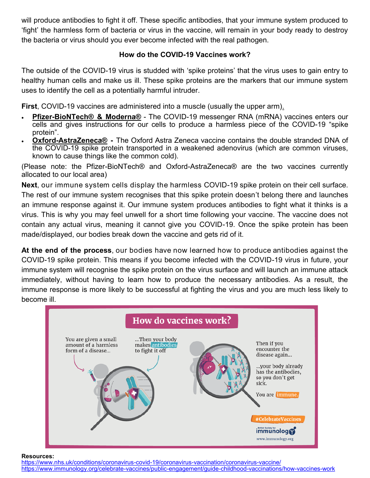will produce antibodies to fight it off. These specific antibodies, that your immune system produced to 'fight' the harmless form of bacteria or virus in the vaccine, will remain in your body ready to destroy the bacteria or virus should you ever become infected with the real pathogen.

## **How do the COVID-19 Vaccines work?**

The outside of the COVID-19 virus is studded with 'spike proteins' that the virus uses to gain entry to healthy human cells and make us ill. These spike proteins are the markers that our immune system uses to identify the cell as a potentially harmful intruder.

**First**, COVID-19 vaccines are administered into a muscle (usually the upper arm).

- **Pfizer-BioNTech® & Moderna®** The COVID-19 messenger RNA (mRNA) vaccines enters our cells and gives instructions for our cells to produce a harmless piece of the COVID-19 "spike protein".
- **Oxford-AstraZeneca® -** The Oxford Astra Zeneca vaccine contains the double stranded DNA of the COVID-19 spike protein transported in a weakened adenovirus (which are common viruses, known to cause things like the common cold).

(Please note: the Pfizer-BioNTech® and Oxford-AstraZeneca® are the two vaccines currently allocated to our local area)

**Next**, our immune system cells display the harmless COVID-19 spike protein on their cell surface. The rest of our immune system recognises that this spike protein doesn't belong there and launches an immune response against it. Our immune system produces antibodies to fight what it thinks is a virus. This is why you may feel unwell for a short time following your vaccine. The vaccine does not contain any actual virus, meaning it cannot give you COVID-19. Once the spike protein has been made/displayed, our bodies break down the vaccine and gets rid of it.

**At the end of the process**, our bodies have now learned how to produce antibodies against the COVID-19 spike protein. This means if you become infected with the COVID-19 virus in future, your immune system will recognise the spike protein on the virus surface and will launch an immune attack immediately, without having to learn how to produce the necessary antibodies. As a result, the immune response is more likely to be successful at fighting the virus and you are much less likely to become ill.



**Resources:**

[https://www.nhs.uk/conditions/coronavirus](https://www.nhs.uk/conditions/coronavirus-covid-19/coronavirus-vaccination/coronavirus-vaccine/)-covid-19/coronavirus-vaccination/coronavirus-vaccine/ [https://www.immunology.org/celebrate](https://www.immunology.org/celebrate-vaccines/public-engagement/guide-childhood-vaccinations/how-vaccines-work)-vaccines/public-engagement/guide-childhood-vaccinations/how-vaccines-work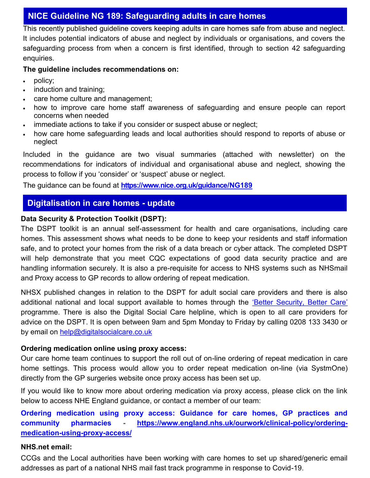## **NICE Guideline NG 189: Safeguarding adults in care homes**

This recently published guideline covers keeping adults in care homes safe from abuse and neglect. It includes potential indicators of abuse and neglect by individuals or organisations, and covers the safeguarding process from when a concern is first identified, through to section 42 safeguarding enquiries.

## **The guideline includes recommendations on:**

- policy;
- induction and training;
- care home culture and management;
- how to improve care home staff awareness of safeguarding and ensure people can report concerns when needed
- immediate actions to take if you consider or suspect abuse or neglect;
- how care home safeguarding leads and local authorities should respond to reports of abuse or neglect

Included in the guidance are two visual summaries (attached with newsletter) on the recommendations for indicators of individual and organisational abuse and neglect, showing the process to follow if you 'consider' or 'suspect' abuse or neglect.

The guidance can be found at **<https://www.nice.org.uk/guidance/NG189>**

## **Digitalisation in care homes - update**

## **Data Security & Protection Toolkit (DSPT):**

The DSPT toolkit is an annual self-assessment for health and care organisations, including care homes. This assessment shows what needs to be done to keep your residents and staff information safe, and to protect your homes from the risk of a data breach or cyber attack. The completed DSPT will help demonstrate that you meet CQC expectations of good data security practice and are handling information securely. It is also a pre-requisite for access to NHS systems such as NHSmail and Proxy access to GP records to allow ordering of repeat medication.

NHSX published changes in relation to the DSPT for adult social care providers and there is also additional national and local support available to homes through the 'Better Security, Better Care' programme. There is also the Digital Social Care helpline, which is open to all care providers for advice on the DSPT. It is open between 9am and 5pm Monday to Friday by calling 0208 133 3430 or by email on [help@digitalsocialcare.co.uk](mailto:help@digitalsocialcare.co.uk)

#### **Ordering medication online using proxy access:**

Our care home team continues to support the roll out of on-line ordering of repeat medication in care home settings. This process would allow you to order repeat medication on-line (via SystmOne) directly from the GP surgeries website once proxy access has been set up.

If you would like to know more about ordering medication via proxy access, please click on the link below to access NHE England guidance, or contact a member of our team:

**[Ordering medication using proxy access: Guidance for care homes, GP practices and](https://www.england.nhs.uk/ourwork/clinical-policy/ordering-medication-using-proxy-access/)  [community pharmacies](https://www.england.nhs.uk/ourwork/clinical-policy/ordering-medication-using-proxy-access/) - [https://www.england.nhs.uk/ourwork/clinical](https://www.england.nhs.uk/ourwork/clinical-policy/ordering-medication-using-proxy-access/)-policy/ordering[medication](https://www.england.nhs.uk/ourwork/clinical-policy/ordering-medication-using-proxy-access/)-using-proxy-access/**

#### **NHS.net email:**

CCGs and the Local authorities have been working with care homes to set up shared/generic email addresses as part of a national NHS mail fast track programme in response to Covid-19.